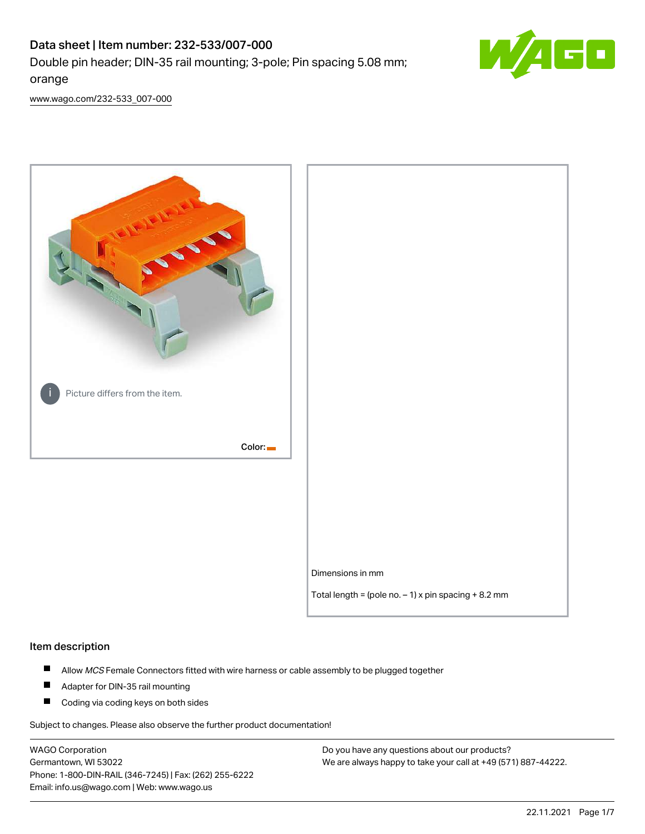# Data sheet | Item number: 232-533/007-000 Double pin header; DIN-35 rail mounting; 3-pole; Pin spacing 5.08 mm; orange



[www.wago.com/232-533\\_007-000](http://www.wago.com/232-533_007-000)



#### Item description

- $\blacksquare$ Allow MCS Female Connectors fitted with wire harness or cable assembly to be plugged together
- $\blacksquare$ Adapter for DIN-35 rail mounting
- $\blacksquare$ Coding via coding keys on both sides

Subject to changes. Please also observe the further product documentation!

WAGO Corporation Germantown, WI 53022 Phone: 1-800-DIN-RAIL (346-7245) | Fax: (262) 255-6222 Email: info.us@wago.com | Web: www.wago.us

Do you have any questions about our products? We are always happy to take your call at +49 (571) 887-44222.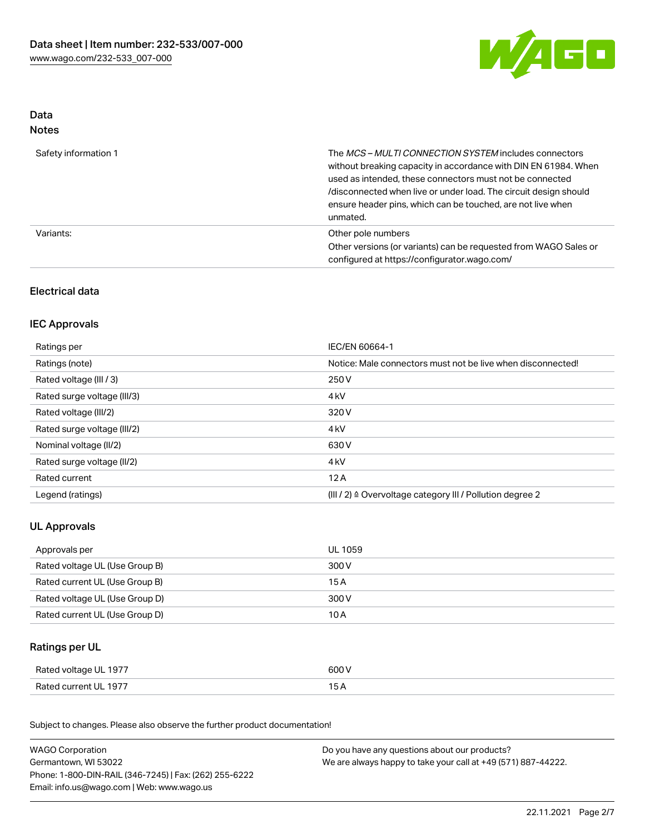

## Data Notes

| Safety information 1 | The <i>MCS – MULTI CONNECTION SYSTEM</i> includes connectors<br>without breaking capacity in accordance with DIN EN 61984. When<br>used as intended, these connectors must not be connected<br>/disconnected when live or under load. The circuit design should<br>ensure header pins, which can be touched, are not live when<br>unmated. |
|----------------------|--------------------------------------------------------------------------------------------------------------------------------------------------------------------------------------------------------------------------------------------------------------------------------------------------------------------------------------------|
| Variants:            | Other pole numbers<br>Other versions (or variants) can be requested from WAGO Sales or<br>configured at https://configurator.wago.com/                                                                                                                                                                                                     |

## Electrical data

## IEC Approvals

| Ratings per                 | IEC/EN 60664-1                                                        |
|-----------------------------|-----------------------------------------------------------------------|
| Ratings (note)              | Notice: Male connectors must not be live when disconnected!           |
| Rated voltage (III / 3)     | 250 V                                                                 |
| Rated surge voltage (III/3) | 4 <sub>k</sub> V                                                      |
| Rated voltage (III/2)       | 320 V                                                                 |
| Rated surge voltage (III/2) | 4 <sub>k</sub> V                                                      |
| Nominal voltage (II/2)      | 630 V                                                                 |
| Rated surge voltage (II/2)  | 4 <sub>k</sub> V                                                      |
| Rated current               | 12A                                                                   |
| Legend (ratings)            | $(III / 2)$ $\triangle$ Overvoltage category III / Pollution degree 2 |

## UL Approvals

| Approvals per                  | UL 1059 |
|--------------------------------|---------|
| Rated voltage UL (Use Group B) | 300 V   |
| Rated current UL (Use Group B) | 15 A    |
| Rated voltage UL (Use Group D) | 300 V   |
| Rated current UL (Use Group D) | 10 A    |

## Ratings per UL

| Rated voltage UL 1977 | 600 V |
|-----------------------|-------|
| Rated current UL 1977 |       |

Subject to changes. Please also observe the further product documentation!

| <b>WAGO Corporation</b>                                | Do you have any questions about our products?                 |  |
|--------------------------------------------------------|---------------------------------------------------------------|--|
| Germantown, WI 53022                                   | We are always happy to take your call at +49 (571) 887-44222. |  |
| Phone: 1-800-DIN-RAIL (346-7245)   Fax: (262) 255-6222 |                                                               |  |
| Email: info.us@wago.com   Web: www.wago.us             |                                                               |  |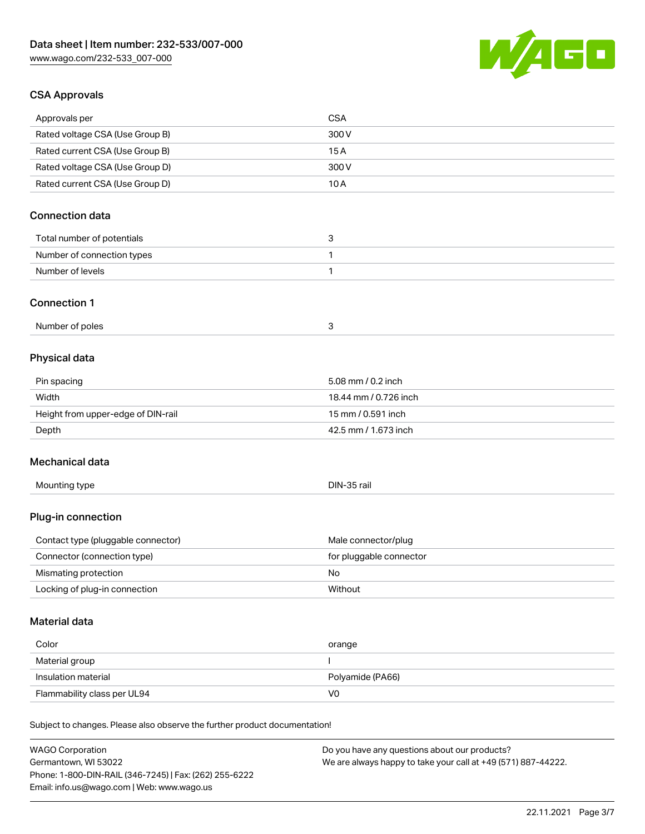

## CSA Approvals

| Approvals per                                                              | <b>CSA</b>              |
|----------------------------------------------------------------------------|-------------------------|
| Rated voltage CSA (Use Group B)                                            | 300V                    |
| Rated current CSA (Use Group B)                                            | 15A                     |
| Rated voltage CSA (Use Group D)                                            | 300V                    |
| Rated current CSA (Use Group D)                                            | 10A                     |
|                                                                            |                         |
| <b>Connection data</b>                                                     |                         |
| Total number of potentials                                                 | 3                       |
| Number of connection types                                                 | 1                       |
| Number of levels                                                           | 1                       |
|                                                                            |                         |
| <b>Connection 1</b>                                                        |                         |
| Number of poles                                                            | 3                       |
|                                                                            |                         |
| Physical data                                                              |                         |
| Pin spacing                                                                | 5.08 mm / 0.2 inch      |
| Width                                                                      | 18.44 mm / 0.726 inch   |
| Height from upper-edge of DIN-rail                                         | 15 mm / 0.591 inch      |
| Depth                                                                      | 42.5 mm / 1.673 inch    |
|                                                                            |                         |
| Mechanical data                                                            |                         |
| Mounting type                                                              | DIN-35 rail             |
|                                                                            |                         |
| Plug-in connection                                                         |                         |
|                                                                            |                         |
| Contact type (pluggable connector)                                         | Male connector/plug     |
| Connector (connection type)                                                | for pluggable connector |
| Mismating protection<br>Locking of plug-in connection                      | No                      |
|                                                                            | Without                 |
| <b>Material data</b>                                                       |                         |
|                                                                            |                         |
| Color                                                                      | orange                  |
| Material group                                                             | ı                       |
| Insulation material                                                        | Polyamide (PA66)        |
| Flammability class per UL94                                                | V <sub>0</sub>          |
| Subject to changes. Please also observe the further product documentation! |                         |
|                                                                            |                         |
| WACO Corporation                                                           |                         |

WAGO Corporation Germantown, WI 53022 Phone: 1-800-DIN-RAIL (346-7245) | Fax: (262) 255-6222 Email: info.us@wago.com | Web: www.wago.us

Do you have any questions about our products? We are always happy to take your call at +49 (571) 887-44222.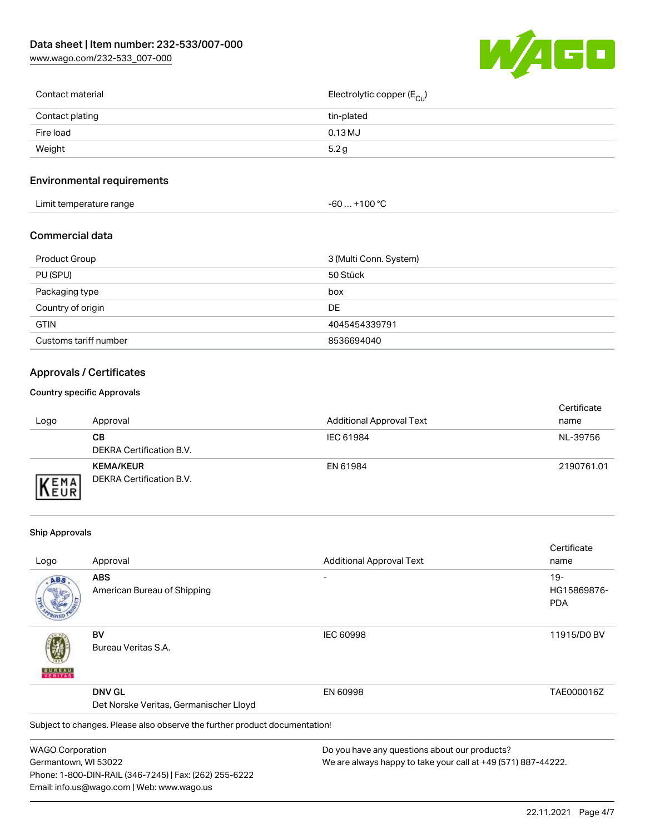[www.wago.com/232-533\\_007-000](http://www.wago.com/232-533_007-000)



| Contact material | Electrolytic copper (E <sub>Cu</sub> ) |
|------------------|----------------------------------------|
| Contact plating  | tin-plated                             |
| Fire load        | $0.13$ MJ                              |
| Weight           | 5.2 g                                  |
|                  |                                        |

## Environmental requirements

| Limit temperature range | ⊥+100 °ົ<br>-60 |
|-------------------------|-----------------|
|-------------------------|-----------------|

#### Commercial data

| Product Group         | 3 (Multi Conn. System) |
|-----------------------|------------------------|
| PU (SPU)              | 50 Stück               |
| Packaging type        | box                    |
| Country of origin     | DE.                    |
| <b>GTIN</b>           | 4045454339791          |
| Customs tariff number | 8536694040             |

## Approvals / Certificates

#### Country specific Approvals

| Logo                      | Approval                                     | <b>Additional Approval Text</b> | Certificate<br>name |
|---------------------------|----------------------------------------------|---------------------------------|---------------------|
|                           | CВ<br>DEKRA Certification B.V.               | IEC 61984                       | NL-39756            |
| <b>EMA</b><br><b>NEUR</b> | <b>KEMA/KEUR</b><br>DEKRA Certification B.V. | EN 61984                        | 2190761.01          |

#### Ship Approvals

Email: info.us@wago.com | Web: www.wago.us

|                         |                                                                            |                                                               | Certificate |
|-------------------------|----------------------------------------------------------------------------|---------------------------------------------------------------|-------------|
| Logo                    | Approval                                                                   | <b>Additional Approval Text</b>                               | name        |
| ABS                     | <b>ABS</b>                                                                 |                                                               | $19-$       |
|                         | American Bureau of Shipping                                                |                                                               | HG15869876- |
|                         |                                                                            |                                                               | <b>PDA</b>  |
|                         | BV                                                                         | <b>IEC 60998</b>                                              | 11915/D0 BV |
|                         | Bureau Veritas S.A.                                                        |                                                               |             |
|                         | <b>DNV GL</b>                                                              | EN 60998                                                      | TAE000016Z  |
|                         | Det Norske Veritas, Germanischer Lloyd                                     |                                                               |             |
|                         | Subject to changes. Please also observe the further product documentation! |                                                               |             |
| <b>WAGO Corporation</b> |                                                                            | Do you have any questions about our products?                 |             |
| Germantown, WI 53022    |                                                                            | We are always happy to take your call at +49 (571) 887-44222. |             |
|                         | Phone: 1-800-DIN-RAIL (346-7245)   Fax: (262) 255-6222                     |                                                               |             |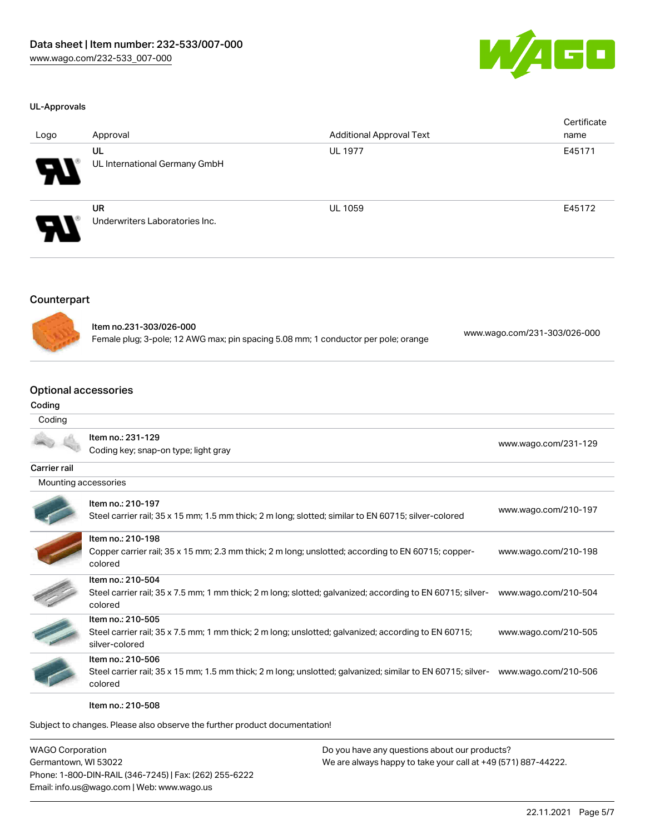

#### UL-Approvals

| Logo                  | Approval                                    | <b>Additional Approval Text</b> | Certificate<br>name |
|-----------------------|---------------------------------------------|---------------------------------|---------------------|
| 8                     | UL<br>UL International Germany GmbH         | <b>UL 1977</b>                  | E45171              |
| $\boldsymbol{\theta}$ | <b>UR</b><br>Underwriters Laboratories Inc. | <b>UL 1059</b>                  | E45172              |

#### **Counterpart**



Item no.231-303/026-000 Female plug; 3-pole; 12 AWG max; pin spacing 5.08 mm; 1 conductor per pole; orange [www.wago.com/231-303/026-000](https://www.wago.com/231-303/026-000)

#### Optional accessories

#### Coding

#### **Coding**

|                      | Item no.: 231-129                                                                                                      | www.wago.com/231-129 |  |
|----------------------|------------------------------------------------------------------------------------------------------------------------|----------------------|--|
|                      | Coding key; snap-on type; light gray                                                                                   |                      |  |
| Carrier rail         |                                                                                                                        |                      |  |
| Mounting accessories |                                                                                                                        |                      |  |
|                      | Item no.: 210-197                                                                                                      | www.wago.com/210-197 |  |
|                      | Steel carrier rail; 35 x 15 mm; 1.5 mm thick; 2 m long; slotted; similar to EN 60715; silver-colored                   |                      |  |
|                      | Item no.: 210-198                                                                                                      |                      |  |
|                      | Copper carrier rail; 35 x 15 mm; 2.3 mm thick; 2 m long; unslotted; according to EN 60715; copper-<br>colored          | www.wago.com/210-198 |  |
|                      | Item no.: 210-504                                                                                                      |                      |  |
|                      | Steel carrier rail; 35 x 7.5 mm; 1 mm thick; 2 m long; slotted; galvanized; according to EN 60715; silver-<br>colored  | www.wago.com/210-504 |  |
|                      | Item no.: 210-505                                                                                                      |                      |  |
|                      | Steel carrier rail; 35 x 7.5 mm; 1 mm thick; 2 m long; unslotted; galvanized; according to EN 60715;<br>silver-colored | www.wago.com/210-505 |  |
|                      | Item no.: 210-506                                                                                                      |                      |  |
|                      | Steel carrier rail; 35 x 15 mm; 1.5 mm thick; 2 m long; unslotted; galvanized; similar to EN 60715; silver-            | www.wago.com/210-506 |  |
|                      | colored                                                                                                                |                      |  |

Item no.: 210-508

Subject to changes. Please also observe the further product documentation!

WAGO Corporation Germantown, WI 53022 Phone: 1-800-DIN-RAIL (346-7245) | Fax: (262) 255-6222 Email: info.us@wago.com | Web: www.wago.us

Do you have any questions about our products? We are always happy to take your call at +49 (571) 887-44222.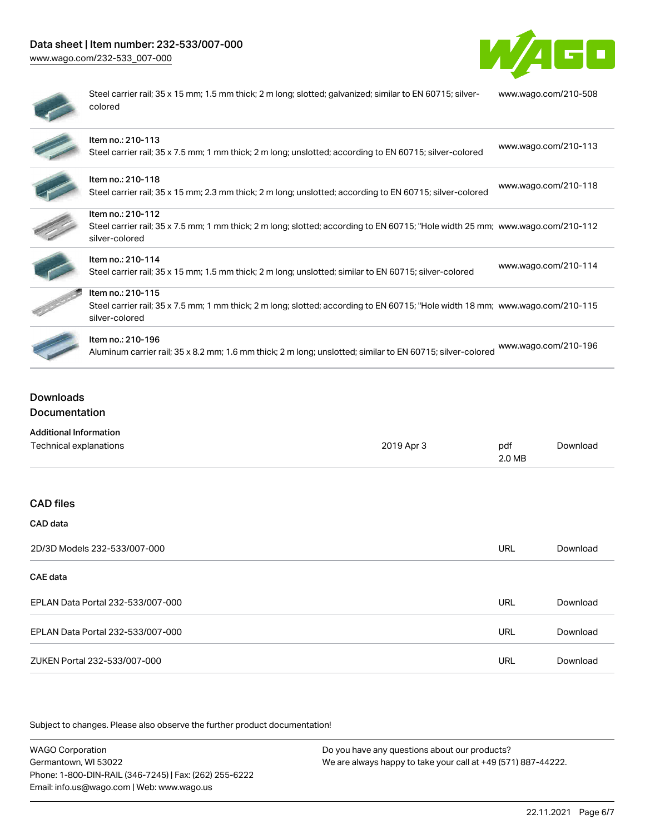# Data sheet | Item number: 232-533/007-000

[www.wago.com/232-533\\_007-000](http://www.wago.com/232-533_007-000)



| ı |  |
|---|--|
| ۰ |  |
| ۱ |  |
|   |  |
|   |  |

Steel carrier rail; 35 x 15 mm; 1.5 mm thick; 2 m long; slotted; galvanized; similar to EN 60715; silvercolored [www.wago.com/210-508](http://www.wago.com/210-508)

| Item no.: 210-113<br>Steel carrier rail; 35 x 7.5 mm; 1 mm thick; 2 m long; unslotted; according to EN 60715; silver-colored                                          | www.wago.com/210-113 |
|-----------------------------------------------------------------------------------------------------------------------------------------------------------------------|----------------------|
| Item no.: 210-118<br>Steel carrier rail; 35 x 15 mm; 2.3 mm thick; 2 m long; unslotted; according to EN 60715; silver-colored                                         | www.wago.com/210-118 |
| Item no.: 210-112<br>Steel carrier rail; 35 x 7.5 mm; 1 mm thick; 2 m long; slotted; according to EN 60715; "Hole width 25 mm; www.wago.com/210-112<br>silver-colored |                      |
| Item no.: 210-114<br>Steel carrier rail; 35 x 15 mm; 1.5 mm thick; 2 m long; unslotted; similar to EN 60715; silver-colored                                           | www.wago.com/210-114 |
| Item no.: 210-115<br>Steel carrier rail; 35 x 7.5 mm; 1 mm thick; 2 m long; slotted; according to EN 60715; "Hole width 18 mm; www.wago.com/210-115<br>silver-colored |                      |
| Item no.: 210-196<br>Aluminum carrier rail; 35 x 8.2 mm; 1.6 mm thick; 2 m long; unslotted; similar to EN 60715; silver-colored                                       | www.wago.com/210-196 |

## Downloads Documentation

| <b>Additional Information</b>     |            |               |          |
|-----------------------------------|------------|---------------|----------|
| Technical explanations            | 2019 Apr 3 | pdf<br>2.0 MB | Download |
|                                   |            |               |          |
| <b>CAD files</b>                  |            |               |          |
| CAD data                          |            |               |          |
| 2D/3D Models 232-533/007-000      |            | <b>URL</b>    | Download |
| CAE data                          |            |               |          |
| EPLAN Data Portal 232-533/007-000 |            | <b>URL</b>    | Download |
| EPLAN Data Portal 232-533/007-000 |            | <b>URL</b>    | Download |
| ZUKEN Portal 232-533/007-000      |            | URL           | Download |

Subject to changes. Please also observe the further product documentation!

WAGO Corporation Germantown, WI 53022 Phone: 1-800-DIN-RAIL (346-7245) | Fax: (262) 255-6222 Email: info.us@wago.com | Web: www.wago.us Do you have any questions about our products? We are always happy to take your call at +49 (571) 887-44222.